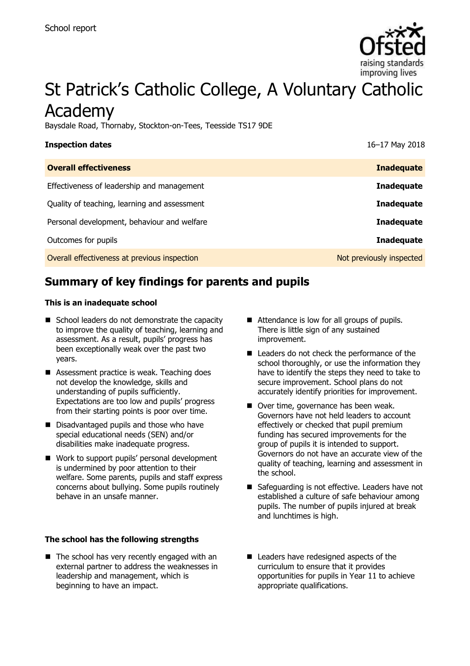

# St Patrick's Catholic College, A Voluntary Catholic Academy

Baysdale Road, Thornaby, Stockton-on-Tees, Teesside TS17 9DE

| <b>Inspection dates</b>                      | 16-17 May 2018           |
|----------------------------------------------|--------------------------|
| <b>Overall effectiveness</b>                 | <b>Inadequate</b>        |
| Effectiveness of leadership and management   | <b>Inadequate</b>        |
| Quality of teaching, learning and assessment | <b>Inadequate</b>        |
| Personal development, behaviour and welfare  | <b>Inadequate</b>        |
| Outcomes for pupils                          | <b>Inadequate</b>        |
| Overall effectiveness at previous inspection | Not previously inspected |
|                                              |                          |

# **Summary of key findings for parents and pupils**

#### **This is an inadequate school**

- School leaders do not demonstrate the capacity to improve the quality of teaching, learning and assessment. As a result, pupils' progress has been exceptionally weak over the past two years.
- Assessment practice is weak. Teaching does not develop the knowledge, skills and understanding of pupils sufficiently. Expectations are too low and pupils' progress from their starting points is poor over time.
- Disadvantaged pupils and those who have special educational needs (SEN) and/or disabilities make inadequate progress.
- Work to support pupils' personal development is undermined by poor attention to their welfare. Some parents, pupils and staff express concerns about bullying. Some pupils routinely behave in an unsafe manner.

#### **The school has the following strengths**

 $\blacksquare$  The school has very recently engaged with an external partner to address the weaknesses in leadership and management, which is beginning to have an impact.

- Attendance is low for all groups of pupils. There is little sign of any sustained improvement.
- Leaders do not check the performance of the school thoroughly, or use the information they have to identify the steps they need to take to secure improvement. School plans do not accurately identify priorities for improvement.
- Over time, governance has been weak. Governors have not held leaders to account effectively or checked that pupil premium funding has secured improvements for the group of pupils it is intended to support. Governors do not have an accurate view of the quality of teaching, learning and assessment in the school.
- Safeguarding is not effective. Leaders have not established a culture of safe behaviour among pupils. The number of pupils injured at break and lunchtimes is high.
- Leaders have redesigned aspects of the curriculum to ensure that it provides opportunities for pupils in Year 11 to achieve appropriate qualifications.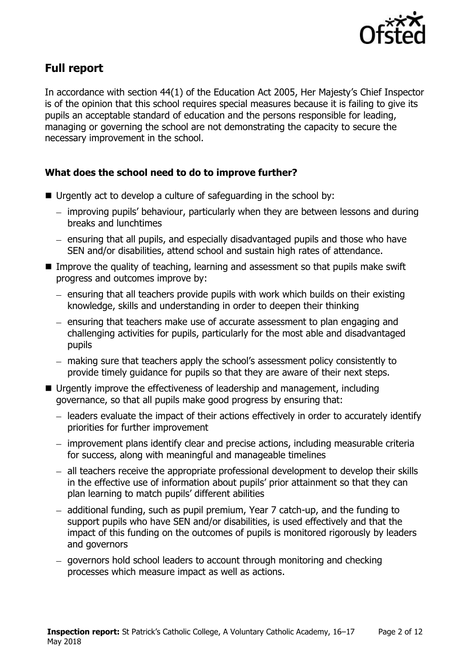

# **Full report**

In accordance with section 44(1) of the Education Act 2005, Her Majesty's Chief Inspector is of the opinion that this school requires special measures because it is failing to give its pupils an acceptable standard of education and the persons responsible for leading, managing or governing the school are not demonstrating the capacity to secure the necessary improvement in the school.

#### **What does the school need to do to improve further?**

- $\blacksquare$  Urgently act to develop a culture of safeguarding in the school by:
	- improving pupils' behaviour, particularly when they are between lessons and during breaks and lunchtimes
	- ensuring that all pupils, and especially disadvantaged pupils and those who have SEN and/or disabilities, attend school and sustain high rates of attendance.
- Improve the quality of teaching, learning and assessment so that pupils make swift progress and outcomes improve by:
	- $-$  ensuring that all teachers provide pupils with work which builds on their existing knowledge, skills and understanding in order to deepen their thinking
	- ensuring that teachers make use of accurate assessment to plan engaging and challenging activities for pupils, particularly for the most able and disadvantaged pupils
	- making sure that teachers apply the school's assessment policy consistently to provide timely guidance for pupils so that they are aware of their next steps.
- Urgently improve the effectiveness of leadership and management, including governance, so that all pupils make good progress by ensuring that:
	- leaders evaluate the impact of their actions effectively in order to accurately identify priorities for further improvement
	- improvement plans identify clear and precise actions, including measurable criteria for success, along with meaningful and manageable timelines
	- all teachers receive the appropriate professional development to develop their skills in the effective use of information about pupils' prior attainment so that they can plan learning to match pupils' different abilities
	- additional funding, such as pupil premium, Year 7 catch-up, and the funding to support pupils who have SEN and/or disabilities, is used effectively and that the impact of this funding on the outcomes of pupils is monitored rigorously by leaders and governors
	- governors hold school leaders to account through monitoring and checking processes which measure impact as well as actions.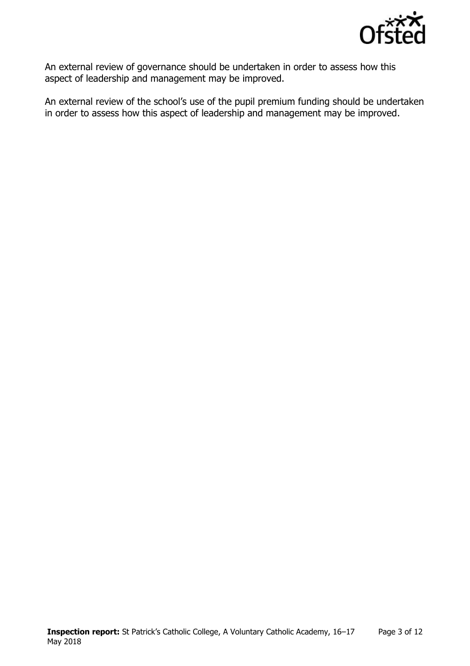

An external review of governance should be undertaken in order to assess how this aspect of leadership and management may be improved.

An external review of the school's use of the pupil premium funding should be undertaken in order to assess how this aspect of leadership and management may be improved.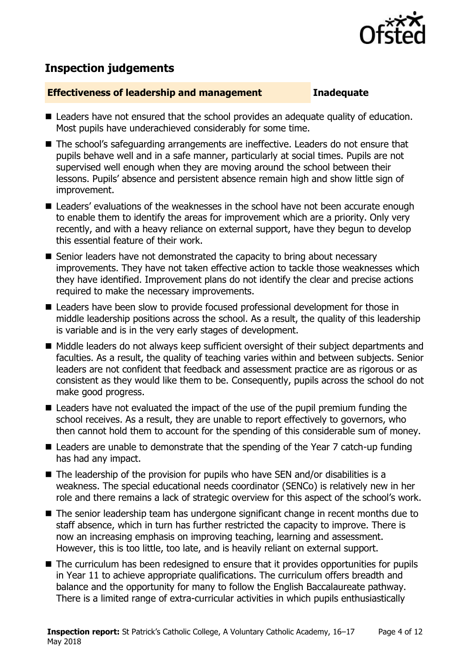

# **Inspection judgements**

#### **Effectiveness of leadership and management Inadequate**

- Leaders have not ensured that the school provides an adequate quality of education. Most pupils have underachieved considerably for some time.
- The school's safeguarding arrangements are ineffective. Leaders do not ensure that pupils behave well and in a safe manner, particularly at social times. Pupils are not supervised well enough when they are moving around the school between their lessons. Pupils' absence and persistent absence remain high and show little sign of improvement.
- Leaders' evaluations of the weaknesses in the school have not been accurate enough to enable them to identify the areas for improvement which are a priority. Only very recently, and with a heavy reliance on external support, have they begun to develop this essential feature of their work.
- Senior leaders have not demonstrated the capacity to bring about necessary improvements. They have not taken effective action to tackle those weaknesses which they have identified. Improvement plans do not identify the clear and precise actions required to make the necessary improvements.
- Leaders have been slow to provide focused professional development for those in middle leadership positions across the school. As a result, the quality of this leadership is variable and is in the very early stages of development.
- Middle leaders do not always keep sufficient oversight of their subject departments and faculties. As a result, the quality of teaching varies within and between subjects. Senior leaders are not confident that feedback and assessment practice are as rigorous or as consistent as they would like them to be. Consequently, pupils across the school do not make good progress.
- Leaders have not evaluated the impact of the use of the pupil premium funding the school receives. As a result, they are unable to report effectively to governors, who then cannot hold them to account for the spending of this considerable sum of money.
- Leaders are unable to demonstrate that the spending of the Year 7 catch-up funding has had any impact.
- $\blacksquare$  The leadership of the provision for pupils who have SEN and/or disabilities is a weakness. The special educational needs coordinator (SENCo) is relatively new in her role and there remains a lack of strategic overview for this aspect of the school's work.
- The senior leadership team has undergone significant change in recent months due to staff absence, which in turn has further restricted the capacity to improve. There is now an increasing emphasis on improving teaching, learning and assessment. However, this is too little, too late, and is heavily reliant on external support.
- The curriculum has been redesigned to ensure that it provides opportunities for pupils in Year 11 to achieve appropriate qualifications. The curriculum offers breadth and balance and the opportunity for many to follow the English Baccalaureate pathway. There is a limited range of extra-curricular activities in which pupils enthusiastically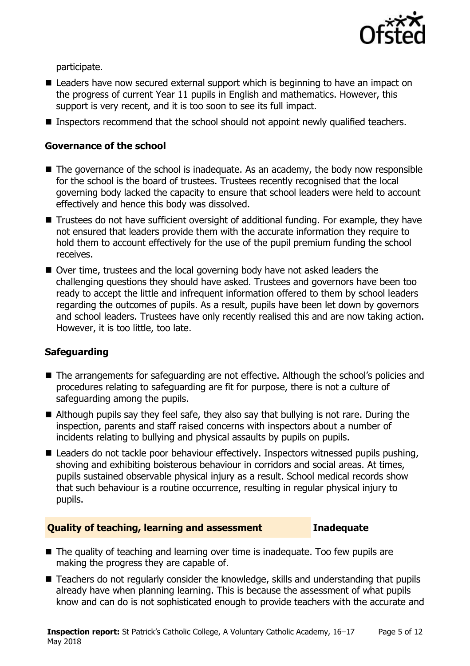

participate.

- Leaders have now secured external support which is beginning to have an impact on the progress of current Year 11 pupils in English and mathematics. However, this support is very recent, and it is too soon to see its full impact.
- Inspectors recommend that the school should not appoint newly qualified teachers.

#### **Governance of the school**

- $\blacksquare$  The governance of the school is inadequate. As an academy, the body now responsible for the school is the board of trustees. Trustees recently recognised that the local governing body lacked the capacity to ensure that school leaders were held to account effectively and hence this body was dissolved.
- Trustees do not have sufficient oversight of additional funding. For example, they have not ensured that leaders provide them with the accurate information they require to hold them to account effectively for the use of the pupil premium funding the school receives.
- Over time, trustees and the local governing body have not asked leaders the challenging questions they should have asked. Trustees and governors have been too ready to accept the little and infrequent information offered to them by school leaders regarding the outcomes of pupils. As a result, pupils have been let down by governors and school leaders. Trustees have only recently realised this and are now taking action. However, it is too little, too late.

### **Safeguarding**

- The arrangements for safeguarding are not effective. Although the school's policies and procedures relating to safeguarding are fit for purpose, there is not a culture of safeguarding among the pupils.
- Although pupils say they feel safe, they also say that bullying is not rare. During the inspection, parents and staff raised concerns with inspectors about a number of incidents relating to bullying and physical assaults by pupils on pupils.
- Leaders do not tackle poor behaviour effectively. Inspectors witnessed pupils pushing, shoving and exhibiting boisterous behaviour in corridors and social areas. At times, pupils sustained observable physical injury as a result. School medical records show that such behaviour is a routine occurrence, resulting in regular physical injury to pupils.

#### **Quality of teaching, learning and assessment Inadequate**

- The quality of teaching and learning over time is inadequate. Too few pupils are making the progress they are capable of.
- Teachers do not regularly consider the knowledge, skills and understanding that pupils already have when planning learning. This is because the assessment of what pupils know and can do is not sophisticated enough to provide teachers with the accurate and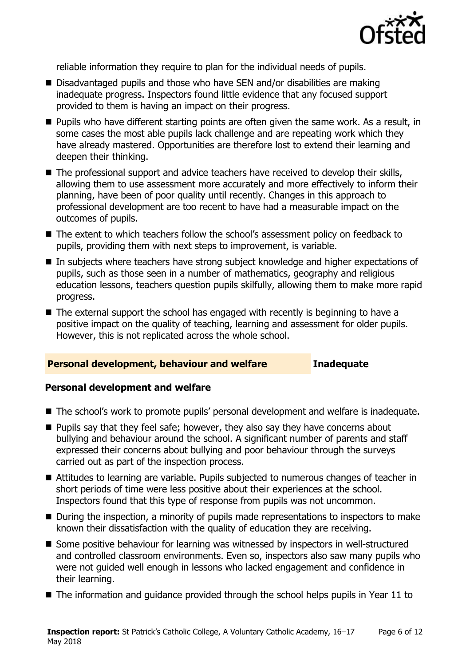

reliable information they require to plan for the individual needs of pupils.

- Disadvantaged pupils and those who have SEN and/or disabilities are making inadequate progress. Inspectors found little evidence that any focused support provided to them is having an impact on their progress.
- **Pupils who have different starting points are often given the same work. As a result, in** some cases the most able pupils lack challenge and are repeating work which they have already mastered. Opportunities are therefore lost to extend their learning and deepen their thinking.
- The professional support and advice teachers have received to develop their skills, allowing them to use assessment more accurately and more effectively to inform their planning, have been of poor quality until recently. Changes in this approach to professional development are too recent to have had a measurable impact on the outcomes of pupils.
- The extent to which teachers follow the school's assessment policy on feedback to pupils, providing them with next steps to improvement, is variable.
- In subjects where teachers have strong subject knowledge and higher expectations of pupils, such as those seen in a number of mathematics, geography and religious education lessons, teachers question pupils skilfully, allowing them to make more rapid progress.
- $\blacksquare$  The external support the school has engaged with recently is beginning to have a positive impact on the quality of teaching, learning and assessment for older pupils. However, this is not replicated across the whole school.

#### **Personal development, behaviour and welfare Inadequate**

#### **Personal development and welfare**

- The school's work to promote pupils' personal development and welfare is inadequate.
- **Pupils say that they feel safe; however, they also say they have concerns about** bullying and behaviour around the school. A significant number of parents and staff expressed their concerns about bullying and poor behaviour through the surveys carried out as part of the inspection process.
- Attitudes to learning are variable. Pupils subjected to numerous changes of teacher in short periods of time were less positive about their experiences at the school. Inspectors found that this type of response from pupils was not uncommon.
- During the inspection, a minority of pupils made representations to inspectors to make known their dissatisfaction with the quality of education they are receiving.
- Some positive behaviour for learning was witnessed by inspectors in well-structured and controlled classroom environments. Even so, inspectors also saw many pupils who were not guided well enough in lessons who lacked engagement and confidence in their learning.
- $\blacksquare$  The information and guidance provided through the school helps pupils in Year 11 to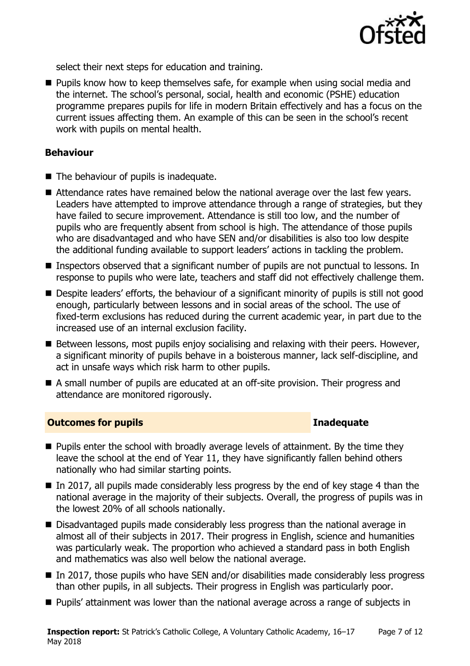

select their next steps for education and training.

**Pupils know how to keep themselves safe, for example when using social media and** the internet. The school's personal, social, health and economic (PSHE) education programme prepares pupils for life in modern Britain effectively and has a focus on the current issues affecting them. An example of this can be seen in the school's recent work with pupils on mental health.

### **Behaviour**

- The behaviour of pupils is inadequate.
- Attendance rates have remained below the national average over the last few years. Leaders have attempted to improve attendance through a range of strategies, but they have failed to secure improvement. Attendance is still too low, and the number of pupils who are frequently absent from school is high. The attendance of those pupils who are disadvantaged and who have SEN and/or disabilities is also too low despite the additional funding available to support leaders' actions in tackling the problem.
- **Inspectors observed that a significant number of pupils are not punctual to lessons. In** response to pupils who were late, teachers and staff did not effectively challenge them.
- Despite leaders' efforts, the behaviour of a significant minority of pupils is still not good enough, particularly between lessons and in social areas of the school. The use of fixed-term exclusions has reduced during the current academic year, in part due to the increased use of an internal exclusion facility.
- Between lessons, most pupils enjoy socialising and relaxing with their peers. However, a significant minority of pupils behave in a boisterous manner, lack self-discipline, and act in unsafe ways which risk harm to other pupils.
- A small number of pupils are educated at an off-site provision. Their progress and attendance are monitored rigorously.

#### **Outcomes for pupils Inadequate**

- **Pupils enter the school with broadly average levels of attainment. By the time they** leave the school at the end of Year 11, they have significantly fallen behind others nationally who had similar starting points.
- $\blacksquare$  In 2017, all pupils made considerably less progress by the end of key stage 4 than the national average in the majority of their subjects. Overall, the progress of pupils was in the lowest 20% of all schools nationally.
- Disadvantaged pupils made considerably less progress than the national average in almost all of their subjects in 2017. Their progress in English, science and humanities was particularly weak. The proportion who achieved a standard pass in both English and mathematics was also well below the national average.
- $\blacksquare$  In 2017, those pupils who have SEN and/or disabilities made considerably less progress than other pupils, in all subjects. Their progress in English was particularly poor.
- **Pupils' attainment was lower than the national average across a range of subjects in**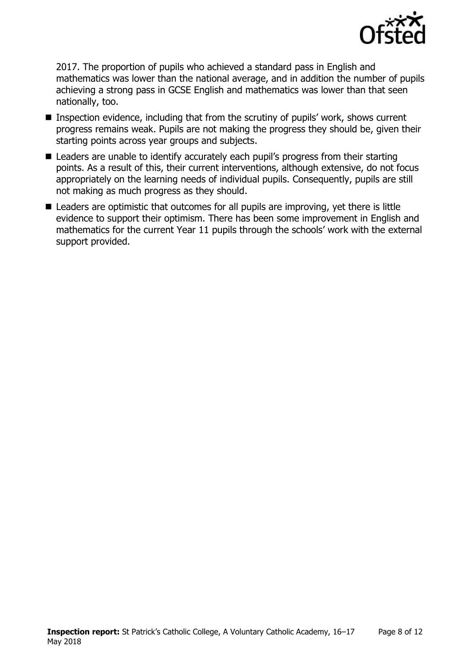

2017. The proportion of pupils who achieved a standard pass in English and mathematics was lower than the national average, and in addition the number of pupils achieving a strong pass in GCSE English and mathematics was lower than that seen nationally, too.

- Inspection evidence, including that from the scrutiny of pupils' work, shows current progress remains weak. Pupils are not making the progress they should be, given their starting points across year groups and subjects.
- Leaders are unable to identify accurately each pupil's progress from their starting points. As a result of this, their current interventions, although extensive, do not focus appropriately on the learning needs of individual pupils. Consequently, pupils are still not making as much progress as they should.
- Leaders are optimistic that outcomes for all pupils are improving, yet there is little evidence to support their optimism. There has been some improvement in English and mathematics for the current Year 11 pupils through the schools' work with the external support provided.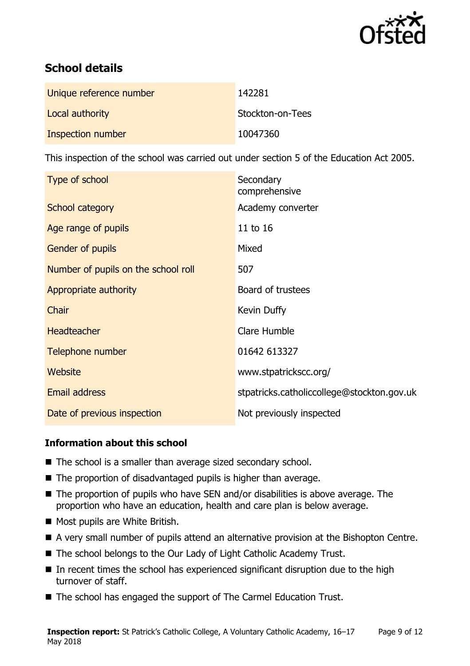

# **School details**

| Unique reference number | 142281           |
|-------------------------|------------------|
| Local authority         | Stockton-on-Tees |
| Inspection number       | 10047360         |

This inspection of the school was carried out under section 5 of the Education Act 2005.

| Type of school                      | Secondary<br>comprehensive                 |
|-------------------------------------|--------------------------------------------|
| School category                     | Academy converter                          |
| Age range of pupils                 | 11 to 16                                   |
| Gender of pupils                    | Mixed                                      |
| Number of pupils on the school roll | 507                                        |
| Appropriate authority               | Board of trustees                          |
| Chair                               | Kevin Duffy                                |
| <b>Headteacher</b>                  | Clare Humble                               |
| Telephone number                    | 01642 613327                               |
| Website                             | www.stpatrickscc.org/                      |
| <b>Email address</b>                | stpatricks.catholiccollege@stockton.gov.uk |
| Date of previous inspection         | Not previously inspected                   |

#### **Information about this school**

- The school is a smaller than average sized secondary school.
- $\blacksquare$  The proportion of disadvantaged pupils is higher than average.
- The proportion of pupils who have SEN and/or disabilities is above average. The proportion who have an education, health and care plan is below average.
- Most pupils are White British.
- A very small number of pupils attend an alternative provision at the Bishopton Centre.
- The school belongs to the Our Lady of Light Catholic Academy Trust.
- $\blacksquare$  In recent times the school has experienced significant disruption due to the high turnover of staff.
- The school has engaged the support of The Carmel Education Trust.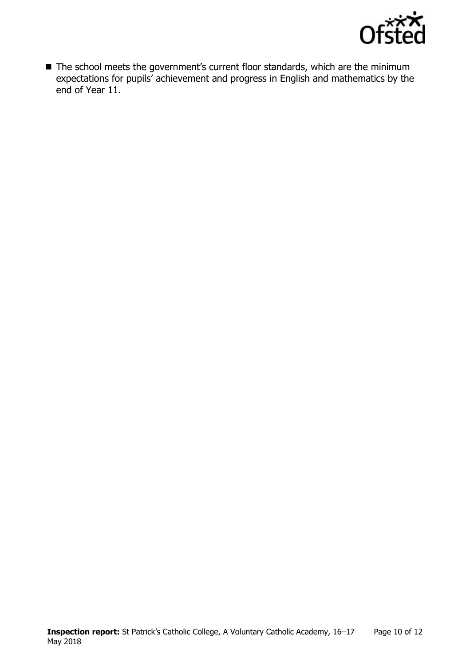

■ The school meets the government's current floor standards, which are the minimum expectations for pupils' achievement and progress in English and mathematics by the end of Year 11.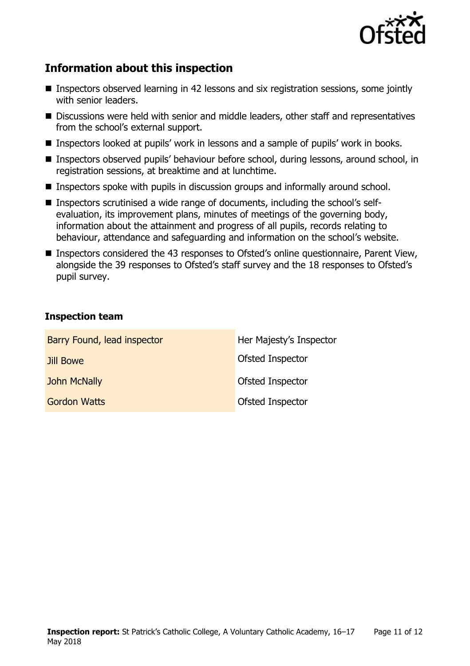

# **Information about this inspection**

- Inspectors observed learning in 42 lessons and six registration sessions, some jointly with senior leaders.
- Discussions were held with senior and middle leaders, other staff and representatives from the school's external support.
- Inspectors looked at pupils' work in lessons and a sample of pupils' work in books.
- Inspectors observed pupils' behaviour before school, during lessons, around school, in registration sessions, at breaktime and at lunchtime.
- Inspectors spoke with pupils in discussion groups and informally around school.
- Inspectors scrutinised a wide range of documents, including the school's selfevaluation, its improvement plans, minutes of meetings of the governing body, information about the attainment and progress of all pupils, records relating to behaviour, attendance and safeguarding and information on the school's website.
- Inspectors considered the 43 responses to Ofsted's online questionnaire, Parent View, alongside the 39 responses to Ofsted's staff survey and the 18 responses to Ofsted's pupil survey.

#### **Inspection team**

| Barry Found, lead inspector | Her Majesty's Inspector |
|-----------------------------|-------------------------|
| Jill Bowe                   | Ofsted Inspector        |
| John McNally                | Ofsted Inspector        |
| <b>Gordon Watts</b>         | Ofsted Inspector        |